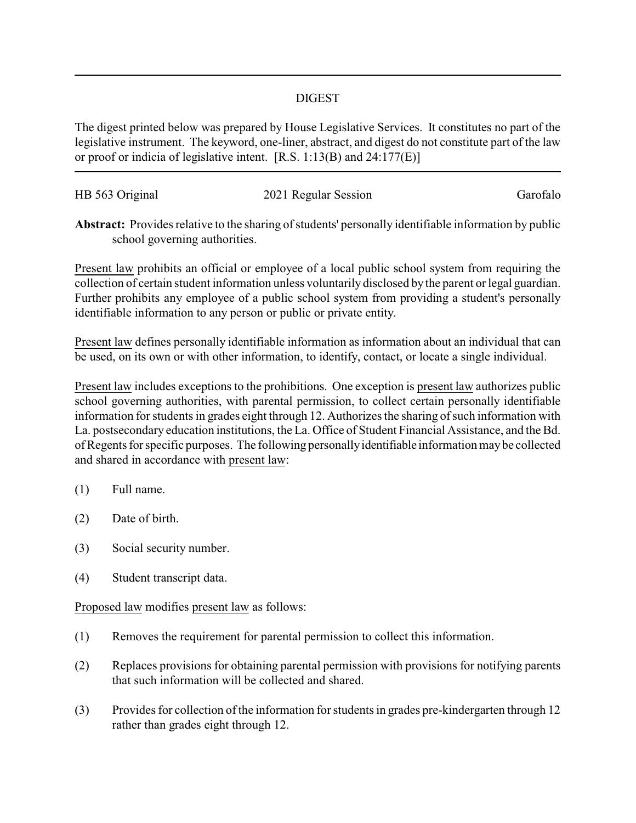## DIGEST

The digest printed below was prepared by House Legislative Services. It constitutes no part of the legislative instrument. The keyword, one-liner, abstract, and digest do not constitute part of the law or proof or indicia of legislative intent. [R.S. 1:13(B) and 24:177(E)]

| HB 563 Original | 2021 Regular Session | Garofalo |
|-----------------|----------------------|----------|
|                 |                      |          |

**Abstract:** Provides relative to the sharing of students' personally identifiable information by public school governing authorities.

Present law prohibits an official or employee of a local public school system from requiring the collection of certain student information unless voluntarily disclosed by the parent or legal guardian. Further prohibits any employee of a public school system from providing a student's personally identifiable information to any person or public or private entity.

Present law defines personally identifiable information as information about an individual that can be used, on its own or with other information, to identify, contact, or locate a single individual.

Present law includes exceptions to the prohibitions. One exception is present law authorizes public school governing authorities, with parental permission, to collect certain personally identifiable information for students in grades eight through 12. Authorizes the sharing of such information with La. postsecondary education institutions, the La. Office of Student Financial Assistance, and the Bd. of Regents for specific purposes. The following personallyidentifiable information maybe collected and shared in accordance with present law:

- (1) Full name.
- (2) Date of birth.
- (3) Social security number.
- (4) Student transcript data.

Proposed law modifies present law as follows:

- (1) Removes the requirement for parental permission to collect this information.
- (2) Replaces provisions for obtaining parental permission with provisions for notifying parents that such information will be collected and shared.
- (3) Provides for collection of the information for students in grades pre-kindergarten through 12 rather than grades eight through 12.